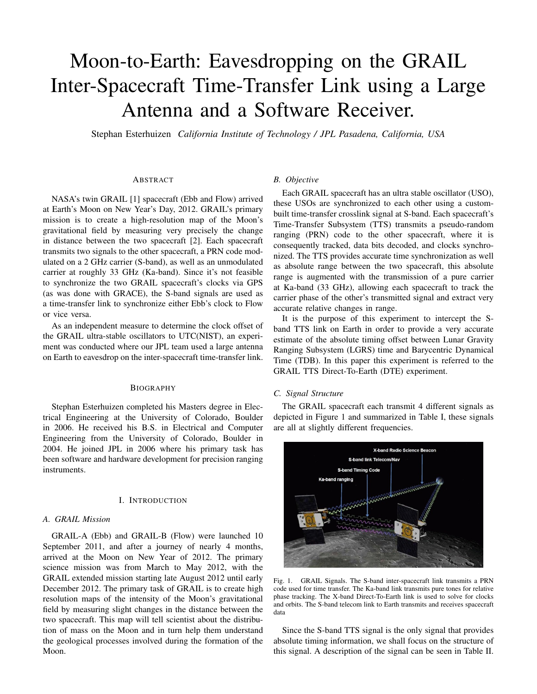# Moon-to-Earth: Eavesdropping on the GRAIL Inter-Spacecraft Time-Transfer Link using a Large Antenna and a Software Receiver.

Stephan Esterhuizen *California Institute of Technology / JPL Pasadena, California, USA*

#### ABSTRACT

NASA's twin GRAIL [1] spacecraft (Ebb and Flow) arrived at Earth's Moon on New Year's Day, 2012. GRAIL's primary mission is to create a high-resolution map of the Moon's gravitational field by measuring very precisely the change in distance between the two spacecraft [2]. Each spacecraft transmits two signals to the other spacecraft, a PRN code modulated on a 2 GHz carrier (S-band), as well as an unmodulated carrier at roughly 33 GHz (Ka-band). Since it's not feasible to synchronize the two GRAIL spacecraft's clocks via GPS (as was done with GRACE), the S-band signals are used as a time-transfer link to synchronize either Ebb's clock to Flow or vice versa.

As an independent measure to determine the clock offset of the GRAIL ultra-stable oscillators to UTC(NIST), an experiment was conducted where our JPL team used a large antenna on Earth to eavesdrop on the inter-spacecraft time-transfer link.

#### BIOGRAPHY

Stephan Esterhuizen completed his Masters degree in Electrical Engineering at the University of Colorado, Boulder in 2006. He received his B.S. in Electrical and Computer Engineering from the University of Colorado, Boulder in 2004. He joined JPL in 2006 where his primary task has been software and hardware development for precision ranging instruments.

## I. INTRODUCTION

## *A. GRAIL Mission*

GRAIL-A (Ebb) and GRAIL-B (Flow) were launched 10 September 2011, and after a journey of nearly 4 months, arrived at the Moon on New Year of 2012. The primary science mission was from March to May 2012, with the GRAIL extended mission starting late August 2012 until early December 2012. The primary task of GRAIL is to create high resolution maps of the intensity of the Moon's gravitational field by measuring slight changes in the distance between the two spacecraft. This map will tell scientist about the distribution of mass on the Moon and in turn help them understand the geological processes involved during the formation of the Moon.

### *B. Objective*

Each GRAIL spacecraft has an ultra stable oscillator (USO), these USOs are synchronized to each other using a custombuilt time-transfer crosslink signal at S-band. Each spacecraft's Time-Transfer Subsystem (TTS) transmits a pseudo-random ranging (PRN) code to the other spacecraft, where it is consequently tracked, data bits decoded, and clocks synchronized. The TTS provides accurate time synchronization as well as absolute range between the two spacecraft, this absolute range is augmented with the transmission of a pure carrier at Ka-band (33 GHz), allowing each spacecraft to track the carrier phase of the other's transmitted signal and extract very accurate relative changes in range.

It is the purpose of this experiment to intercept the Sband TTS link on Earth in order to provide a very accurate estimate of the absolute timing offset between Lunar Gravity Ranging Subsystem (LGRS) time and Barycentric Dynamical Time (TDB). In this paper this experiment is referred to the GRAIL TTS Direct-To-Earth (DTE) experiment.

# *C. Signal Structure*

The GRAIL spacecraft each transmit 4 different signals as depicted in Figure 1 and summarized in Table I, these signals are all at slightly different frequencies.



Fig. 1. GRAIL Signals. The S-band inter-spacecraft link transmits a PRN code used for time transfer. The Ka-band link transmits pure tones for relative phase tracking. The X-band Direct-To-Earth link is used to solve for clocks and orbits. The S-band telecom link to Earth transmits and receives spacecraft data

Since the S-band TTS signal is the only signal that provides absolute timing information, we shall focus on the structure of this signal. A description of the signal can be seen in Table II.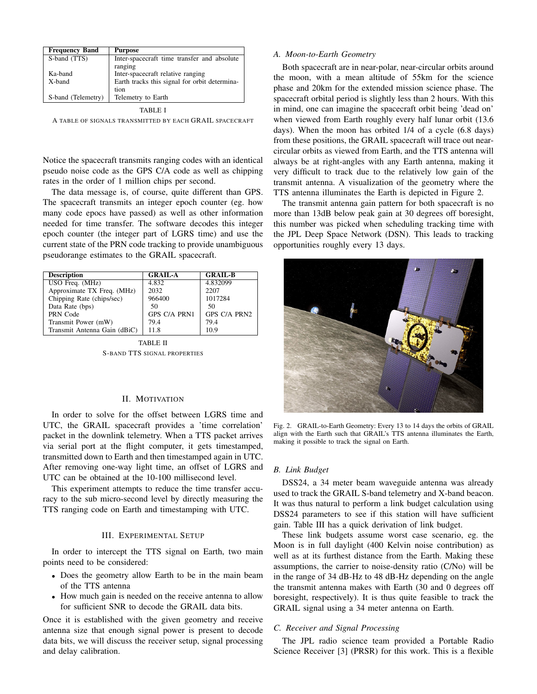| <b>Frequency Band</b> | <b>Purpose</b>                                |
|-----------------------|-----------------------------------------------|
| S-band (TTS)          | Inter-spacecraft time transfer and absolute   |
|                       | ranging                                       |
| Ka-band               | Inter-spacecraft relative ranging             |
| X-band                | Earth tracks this signal for orbit determina- |
|                       | tion                                          |
| S-band (Telemetry)    | Telemetry to Earth                            |

TABLE I

A TABLE OF SIGNALS TRANSMITTED BY EACH GRAIL SPACECRAFT

Notice the spacecraft transmits ranging codes with an identical pseudo noise code as the GPS C/A code as well as chipping rates in the order of 1 million chips per second.

The data message is, of course, quite different than GPS. The spacecraft transmits an integer epoch counter (eg. how many code epocs have passed) as well as other information needed for time transfer. The software decodes this integer epoch counter (the integer part of LGRS time) and use the current state of the PRN code tracking to provide unambiguous pseudorange estimates to the GRAIL spacecraft.

| <b>Description</b>           | <b>GRAIL-A</b>      | <b>GRAIL-B</b>      |
|------------------------------|---------------------|---------------------|
| USO Freq. (MHz)              | 4.832               | 4.832099            |
| Approximate TX Freq. (MHz)   | 2032                | 2207                |
| Chipping Rate (chips/sec)    | 966400              | 1017284             |
| Data Rate (bps)              | 50                  | 50                  |
| PRN Code                     | <b>GPS C/A PRN1</b> | <b>GPS C/A PRN2</b> |
| Transmit Power (mW)          | 79.4                | 79.4                |
| Transmit Antenna Gain (dBiC) | 11.8                | 10.9                |

TABLE II

S-BAND TTS SIGNAL PROPERTIES

## II. MOTIVATION

In order to solve for the offset between LGRS time and UTC, the GRAIL spacecraft provides a 'time correlation' packet in the downlink telemetry. When a TTS packet arrives via serial port at the flight computer, it gets timestamped, transmitted down to Earth and then timestamped again in UTC. After removing one-way light time, an offset of LGRS and UTC can be obtained at the 10-100 millisecond level.

This experiment attempts to reduce the time transfer accuracy to the sub micro-second level by directly measuring the TTS ranging code on Earth and timestamping with UTC.

## III. EXPERIMENTAL SETUP

In order to intercept the TTS signal on Earth, two main points need to be considered:

- Does the geometry allow Earth to be in the main beam of the TTS antenna
- How much gain is needed on the receive antenna to allow for sufficient SNR to decode the GRAIL data bits.

Once it is established with the given geometry and receive antenna size that enough signal power is present to decode data bits, we will discuss the receiver setup, signal processing and delay calibration.

#### *A. Moon-to-Earth Geometry*

Both spacecraft are in near-polar, near-circular orbits around the moon, with a mean altitude of 55km for the science phase and 20km for the extended mission science phase. The spacecraft orbital period is slightly less than 2 hours. With this in mind, one can imagine the spacecraft orbit being 'dead on' when viewed from Earth roughly every half lunar orbit (13.6 days). When the moon has orbited 1/4 of a cycle (6.8 days) from these positions, the GRAIL spacecraft will trace out nearcircular orbits as viewed from Earth, and the TTS antenna will always be at right-angles with any Earth antenna, making it very difficult to track due to the relatively low gain of the transmit antenna. A visualization of the geometry where the TTS antenna illuminates the Earth is depicted in Figure 2.

The transmit antenna gain pattern for both spacecraft is no more than 13dB below peak gain at 30 degrees off boresight, this number was picked when scheduling tracking time with the JPL Deep Space Network (DSN). This leads to tracking opportunities roughly every 13 days.



Fig. 2. GRAIL-to-Earth Geometry: Every 13 to 14 days the orbits of GRAIL align with the Earth such that GRAIL's TTS antenna illuminates the Earth, making it possible to track the signal on Earth.

## *B. Link Budget*

DSS24, a 34 meter beam waveguide antenna was already used to track the GRAIL S-band telemetry and X-band beacon. It was thus natural to perform a link budget calculation using DSS24 parameters to see if this station will have sufficient gain. Table III has a quick derivation of link budget.

These link budgets assume worst case scenario, eg. the Moon is in full daylight (400 Kelvin noise contribution) as well as at its furthest distance from the Earth. Making these assumptions, the carrier to noise-density ratio (C/No) will be in the range of 34 dB-Hz to 48 dB-Hz depending on the angle the transmit antenna makes with Earth (30 and 0 degrees off boresight, respectively). It is thus quite feasible to track the GRAIL signal using a 34 meter antenna on Earth.

#### *C. Receiver and Signal Processing*

The JPL radio science team provided a Portable Radio Science Receiver [3] (PRSR) for this work. This is a flexible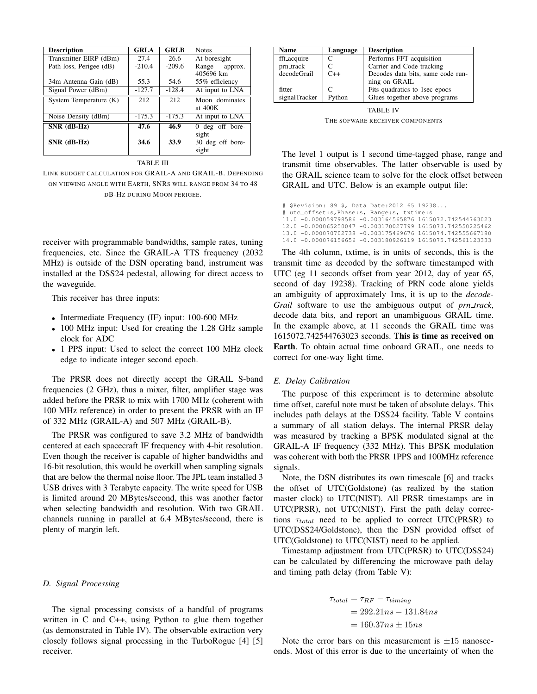| <b>Description</b>      | <b>GRLA</b> | <b>GRLB</b> | <b>Notes</b>      |  |
|-------------------------|-------------|-------------|-------------------|--|
| Transmitter EIRP (dBm)  | 27.4        | 26.6        | At boresight      |  |
| Path loss, Perigee (dB) | $-210.4$    | $-209.6$    | Range approx.     |  |
|                         |             |             | 405696 km         |  |
| 34m Antenna Gain (dB)   | 55.3        | 54.6        | 55% efficiency    |  |
| Signal Power (dBm)      | $-127.7$    | $-128.4$    | At input to LNA   |  |
| System Temperature (K)  | 212         | 212         | Moon dominates    |  |
|                         |             |             | at $400K$         |  |
| Noise Density (dBm)     | $-175.3$    | $-175.3$    | At input to LNA   |  |
| $SNR$ (dB-Hz)           | 47.6        | 46.9        | $0$ deg off bore- |  |
|                         |             |             | sight             |  |
| $SNR$ (dB-Hz)           | 34.6        | 33.9        | 30 deg off bore-  |  |
|                         |             |             | sight             |  |

## TABLE III

LINK BUDGET CALCULATION FOR GRAIL-A AND GRAIL-B. DEPENDING ON VIEWING ANGLE WITH EARTH, SNRS WILL RANGE FROM 34 TO 48 DB-HZ DURING MOON PERIGEE.

receiver with programmable bandwidths, sample rates, tuning frequencies, etc. Since the GRAIL-A TTS frequency (2032 MHz) is outside of the DSN operating band, instrument was installed at the DSS24 pedestal, allowing for direct access to the waveguide.

This receiver has three inputs:

- Intermediate Frequency (IF) input: 100-600 MHz
- 100 MHz input: Used for creating the 1.28 GHz sample clock for ADC
- 1 PPS input: Used to select the correct 100 MHz clock edge to indicate integer second epoch.

The PRSR does not directly accept the GRAIL S-band frequencies (2 GHz), thus a mixer, filter, amplifier stage was added before the PRSR to mix with 1700 MHz (coherent with 100 MHz reference) in order to present the PRSR with an IF of 332 MHz (GRAIL-A) and 507 MHz (GRAIL-B).

The PRSR was configured to save 3.2 MHz of bandwidth centered at each spacecraft IF frequency with 4-bit resolution. Even though the receiver is capable of higher bandwidths and 16-bit resolution, this would be overkill when sampling signals that are below the thermal noise floor. The JPL team installed 3 USB drives with 3 Terabyte capacity. The write speed for USB is limited around 20 MBytes/second, this was another factor when selecting bandwidth and resolution. With two GRAIL channels running in parallel at 6.4 MBytes/second, there is plenty of margin left.

#### *D. Signal Processing*

The signal processing consists of a handful of programs written in C and C++, using Python to glue them together (as demonstrated in Table IV). The observable extraction very closely follows signal processing in the TurboRogue [4] [5] receiver.

| Name          | Language | <b>Description</b>                |
|---------------|----------|-----------------------------------|
| fft_acquire   |          | Performs FFT acquisition          |
| prn_track     |          | Carrier and Code tracking         |
| decodeGrail   | $C++$    | Decodes data bits, same code run- |
|               |          | ning on GRAIL                     |
| fitter        | C        | Fits quadratics to 1sec epocs     |
| signalTracker | Python   | Glues together above programs     |
|               |          |                                   |

TABLE IV

THE SOFWARE RECEIVER COMPONENTS

The level 1 output is 1 second time-tagged phase, range and transmit time observables. The latter observable is used by the GRAIL science team to solve for the clock offset between GRAIL and UTC. Below is an example output file:

# \$Revision: 89 \$, Data Date:2012 65 19238... # utc\_offset:s,Phase:s, Range:s, txtime:s 11.0 -0.000059798586 -0.003164565876 1615072.742544763023 12.0 -0.000065250047 -0.003170027799 1615073.742550225462 13.0 -0.000070702738 -0.003175469676 1615074.742555667180 14.0 -0.000076156656 -0.003180926119 1615075.742561123333

The 4th column, txtime, is in units of seconds, this is the transmit time as decoded by the software timestamped with UTC (eg 11 seconds offset from year 2012, day of year 65, second of day 19238). Tracking of PRN code alone yields an ambiguity of approximately 1ms, it is up to the *decode-Grail* software to use the ambiguous output of *prn track*, decode data bits, and report an unambiguous GRAIL time. In the example above, at 11 seconds the GRAIL time was 1615072.742544763023 seconds. This is time as received on Earth. To obtain actual time onboard GRAIL, one needs to correct for one-way light time.

## *E. Delay Calibration*

The purpose of this experiment is to determine absolute time offset, careful note must be taken of absolute delays. This includes path delays at the DSS24 facility. Table V contains a summary of all station delays. The internal PRSR delay was measured by tracking a BPSK modulated signal at the GRAIL-A IF frequency (332 MHz). This BPSK modulation was coherent with both the PRSR 1PPS and 100MHz reference signals.

Note, the DSN distributes its own timescale [6] and tracks the offset of UTC(Goldstone) (as realized by the station master clock) to UTC(NIST). All PRSR timestamps are in UTC(PRSR), not UTC(NIST). First the path delay corrections  $\tau_{total}$  need to be applied to correct UTC(PRSR) to UTC(DSS24/Goldstone), then the DSN provided offset of UTC(Goldstone) to UTC(NIST) need to be applied.

Timestamp adjustment from UTC(PRSR) to UTC(DSS24) can be calculated by differencing the microwave path delay and timing path delay (from Table V):

$$
\tau_{total} = \tau_{RF} - \tau_{timing}
$$
  
= 292.21ns - 131.84ns  
= 160.37ns \pm 15ns

Note the error bars on this measurement is  $\pm 15$  nanoseconds. Most of this error is due to the uncertainty of when the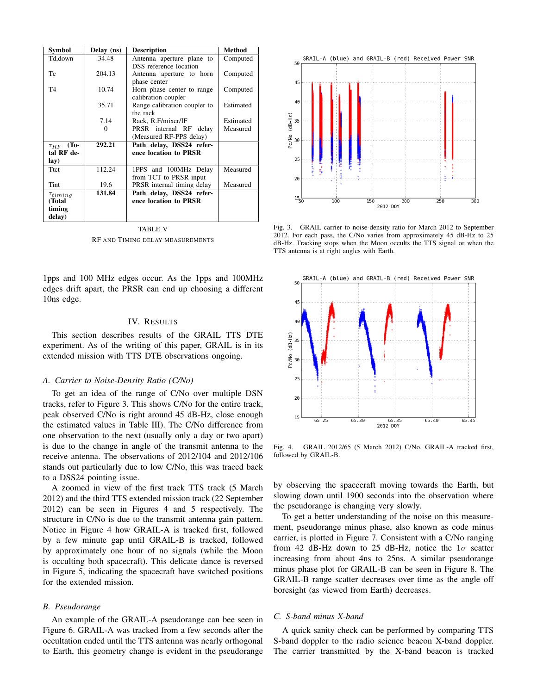| Symbol            | Delay (ns) | <b>Description</b>           | <b>Method</b> |
|-------------------|------------|------------------------------|---------------|
| Td,down           | 34.48      | Antenna aperture plane to    | Computed      |
|                   |            | DSS reference location       |               |
| Tc                | 204.13     | Antenna aperture to horn     | Computed      |
|                   |            | phase center                 |               |
| T <sub>4</sub>    | 10.74      | Horn phase center to range   | Computed      |
|                   |            | calibration coupler          |               |
|                   | 35.71      | Range calibration coupler to | Estimated     |
|                   |            | the rack                     |               |
|                   | 7.14       | Rack, R.F/mixer/IF           | Estimated     |
|                   | $\Omega$   | PRSR internal RF delay       | Measured      |
|                   |            | (Measured RF-PPS delay)      |               |
| To<br>$\tau_{RF}$ | 292.21     | Path delay, DSS24 refer-     |               |
| tal RF de-        |            | ence location to PRSR        |               |
| lay)              |            |                              |               |
| <b>Ttct</b>       | 112.24     | 1PPS and 100MHz Delay        | Measured      |
|                   |            | from TCT to PRSR input       |               |
| Tint              | 19.6       | PRSR internal timing delay   | Measured      |
| $\tau_{timing}$   | 131.84     | Path delay, DSS24 refer-     |               |
| (Total            |            | ence location to PRSR        |               |
| timing            |            |                              |               |
| delay)            |            |                              |               |

TABLE V RF AND TIMING DELAY MEASUREMENTS

1pps and 100 MHz edges occur. As the 1pps and 100MHz edges drift apart, the PRSR can end up choosing a different 10ns edge.

## IV. RESULTS

This section describes results of the GRAIL TTS DTE experiment. As of the writing of this paper, GRAIL is in its extended mission with TTS DTE observations ongoing.

#### *A. Carrier to Noise-Density Ratio (C/No)*

To get an idea of the range of C/No over multiple DSN tracks, refer to Figure 3. This shows C/No for the entire track, peak observed C/No is right around 45 dB-Hz, close enough the estimated values in Table III). The C/No difference from one observation to the next (usually only a day or two apart) is due to the change in angle of the transmit antenna to the receive antenna. The observations of 2012/104 and 2012/106 stands out particularly due to low C/No, this was traced back to a DSS24 pointing issue.

A zoomed in view of the first track TTS track (5 March 2012) and the third TTS extended mission track (22 September 2012) can be seen in Figures 4 and 5 respectively. The structure in C/No is due to the transmit antenna gain pattern. Notice in Figure 4 how GRAIL-A is tracked first, followed by a few minute gap until GRAIL-B is tracked, followed by approximately one hour of no signals (while the Moon is occulting both spacecraft). This delicate dance is reversed in Figure 5, indicating the spacecraft have switched positions for the extended mission.

# *B. Pseudorange*

An example of the GRAIL-A pseudorange can bee seen in Figure 6. GRAIL-A was tracked from a few seconds after the occultation ended until the TTS antenna was nearly orthogonal to Earth, this geometry change is evident in the pseudorange



Fig. 3. GRAIL carrier to noise-density ratio for March 2012 to September 2012. For each pass, the C/No varies from approximately 45 dB-Hz to 25 dB-Hz. Tracking stops when the Moon occults the TTS signal or when the TTS antenna is at right angles with Earth.



Fig. 4. GRAIL 2012/65 (5 March 2012) C/No. GRAIL-A tracked first, followed by GRAIL-B.

by observing the spacecraft moving towards the Earth, but slowing down until 1900 seconds into the observation where the pseudorange is changing very slowly.

To get a better understanding of the noise on this measurement, pseudorange minus phase, also known as code minus carrier, is plotted in Figure 7. Consistent with a C/No ranging from 42 dB-Hz down to 25 dB-Hz, notice the  $1\sigma$  scatter increasing from about 4ns to 25ns. A similar pseudorange minus phase plot for GRAIL-B can be seen in Figure 8. The GRAIL-B range scatter decreases over time as the angle off boresight (as viewed from Earth) decreases.

# *C. S-band minus X-band*

A quick sanity check can be performed by comparing TTS S-band doppler to the radio science beacon X-band doppler. The carrier transmitted by the X-band beacon is tracked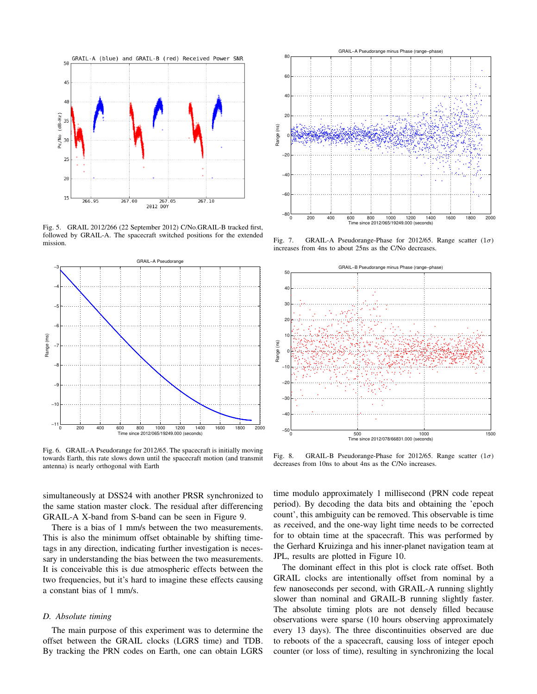

Fig. 5. GRAIL 2012/266 (22 September 2012) C/No.GRAIL-B tracked first, followed by GRAIL-A. The spacecraft switched positions for the extended mission.



Fig. 6. GRAIL-A Pseudorange for 2012/65. The spacecraft is initially moving towards Earth, this rate slows down until the spacecraft motion (and transmit antenna) is nearly orthogonal with Earth

simultaneously at DSS24 with another PRSR synchronized to the same station master clock. The residual after differencing GRAIL-A X-band from S-band can be seen in Figure 9.

There is a bias of 1 mm/s between the two measurements. This is also the minimum offset obtainable by shifting timetags in any direction, indicating further investigation is necessary in understanding the bias between the two measurements. It is conceivable this is due atmospheric effects between the two frequencies, but it's hard to imagine these effects causing a constant bias of 1 mm/s.

# *D. Absolute timing*

The main purpose of this experiment was to determine the offset between the GRAIL clocks (LGRS time) and TDB. By tracking the PRN codes on Earth, one can obtain LGRS



Fig. 7. GRAIL-A Pseudorange-Phase for 2012/65. Range scatter  $(1\sigma)$ increases from 4ns to about 25ns as the C/No decreases.



Fig. 8. GRAIL-B Pseudorange-Phase for 2012/65. Range scatter  $(1\sigma)$ decreases from 10ns to about 4ns as the C/No increases.

time modulo approximately 1 millisecond (PRN code repeat period). By decoding the data bits and obtaining the 'epoch count', this ambiguity can be removed. This observable is time as *r*eceived, and the one-way light time needs to be corrected for to obtain time at the spacecraft. This was performed by the Gerhard Kruizinga and his inner-planet navigation team at JPL, results are plotted in Figure 10.

The dominant effect in this plot is clock rate offset. Both GRAIL clocks are intentionally offset from nominal by a few nanoseconds per second, with GRAIL-A running slightly slower than nominal and GRAIL-B running slightly faster. The absolute timing plots are not densely filled because observations were sparse (10 hours observing approximately every 13 days). The three discontinuities observed are due to reboots of the a spacecraft, causing loss of integer epoch counter (or loss of time), resulting in synchronizing the local